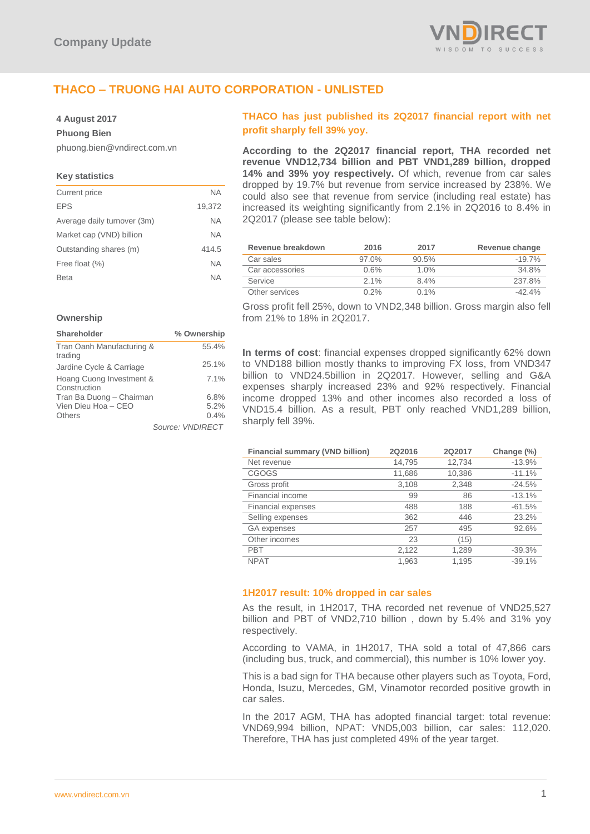

# **THACO – TRUONG HAI AUTO CORPORATION - UNLISTED**

### **4 August 2017**

### **Phuong Bien**

phuong.bien@vndirect.com.vn

#### **Key statistics**

| Current price               | <b>NA</b> |
|-----------------------------|-----------|
| <b>EPS</b>                  | 19,372    |
| Average daily turnover (3m) | ΝA        |
| Market cap (VND) billion    | ΝA        |
| Outstanding shares (m)      | 414.5     |
| Free float (%)              | <b>NA</b> |
| Beta                        | ΝA        |

#### **Ownership**

| Shareholder                              | % Ownership |
|------------------------------------------|-------------|
| Tran Oanh Manufacturing &<br>trading     | 55.4%       |
| Jardine Cycle & Carriage                 | 25.1%       |
| Hoang Cuong Investment &<br>Construction | 7.1%        |
| Tran Ba Duong - Chairman                 | 6.8%        |
| Vien Dieu Hoa - CEO                      | 5.2%        |
| <b>Others</b>                            | 0.4%        |
|                                          | 0.111111007 |

*Source: VNDIRECT*

## **THACO has just published its 2Q2017 financial report with net profit sharply fell 39% yoy.**

**According to the 2Q2017 financial report, THA recorded net revenue VND12,734 billion and PBT VND1,289 billion, dropped 14% and 39% yoy respectively.** Of which, revenue from car sales dropped by 19.7% but revenue from service increased by 238%. We could also see that revenue from service (including real estate) has increased its weighting significantly from 2.1% in 2Q2016 to 8.4% in 2Q2017 (please see table below):

| Revenue breakdown | 2016     | 2017     | Revenue change |
|-------------------|----------|----------|----------------|
| Car sales         | $97.0\%$ | $90.5\%$ | $-19.7%$       |
| Car accessories   | $0.6\%$  | 1.0%     | 34.8%          |
| Service           | $2.1\%$  | 8.4%     | 237.8%         |
| Other services    | 0.2%     | $0.1\%$  | $-42.4%$       |

Gross profit fell 25%, down to VND2,348 billion. Gross margin also fell from 21% to 18% in 2Q2017.

**In terms of cost**: financial expenses dropped significantly 62% down to VND188 billion mostly thanks to improving FX loss, from VND347 billion to VND24.5billion in 2Q2017. However, selling and G&A expenses sharply increased 23% and 92% respectively. Financial income dropped 13% and other incomes also recorded a loss of VND15.4 billion. As a result, PBT only reached VND1,289 billion, sharply fell 39%.

| <b>Financial summary (VND billion)</b> | <b>2Q2016</b> | 2Q2017 | Change (%) |
|----------------------------------------|---------------|--------|------------|
| Net revenue                            | 14,795        | 12,734 | $-13.9%$   |
| <b>CGOGS</b>                           | 11,686        | 10,386 | $-11.1%$   |
| Gross profit                           | 3,108         | 2,348  | $-24.5%$   |
| Financial income                       | 99            | 86     | $-13.1%$   |
| <b>Financial expenses</b>              | 488           | 188    | $-61.5%$   |
| Selling expenses                       | 362           | 446    | 23.2%      |
| <b>GA</b> expenses                     | 257           | 495    | 92.6%      |
| Other incomes                          | 23            | (15)   |            |
| <b>PBT</b>                             | 2,122         | 1,289  | $-39.3%$   |
| <b>NPAT</b>                            | 1,963         | 1.195  | $-39.1%$   |

#### **1H2017 result: 10% dropped in car sales**

As the result, in 1H2017, THA recorded net revenue of VND25,527 billion and PBT of VND2,710 billion , down by 5.4% and 31% yoy respectively.

According to VAMA, in 1H2017, THA sold a total of 47,866 cars (including bus, truck, and commercial), this number is 10% lower yoy.

This is a bad sign for THA because other players such as Toyota, Ford, Honda, Isuzu, Mercedes, GM, Vinamotor recorded positive growth in car sales.

In the 2017 AGM, THA has adopted financial target: total revenue: VND69,994 billion, NPAT: VND5,003 billion, car sales: 112,020. Therefore, THA has just completed 49% of the year target.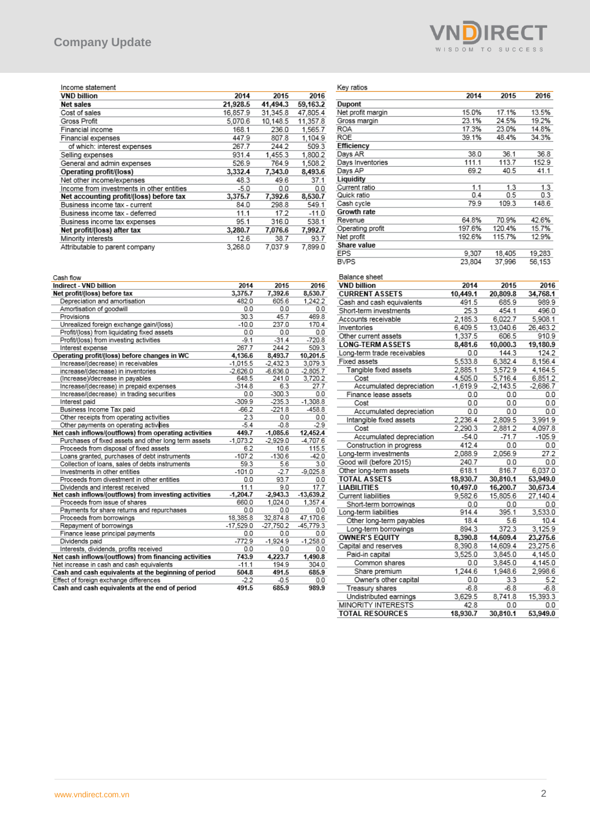| <b>VND billion</b>                        | 2014     | 2015     | 2016     |
|-------------------------------------------|----------|----------|----------|
| Net sales                                 | 21,928.5 | 41,494.3 | 59,163.2 |
| Cost of sales                             | 16.857.9 | 31,345.8 | 47,805.4 |
| Gross Profit                              | 5.070.6  | 10.148.5 | 11.357.8 |
| Financial income                          | 168.1    | 236.0    | 1,565.7  |
| Financial expenses                        | 447.9    | 807.8    | 1.104.9  |
| of which: interest expenses               | 267.7    | 244.2    | 509.3    |
| Selling expenses                          | 931.4    | 1.455.3  | 1.800.2  |
| General and admin expenses                | 526.9    | 764.9    | 1.508.2  |
| Operating profit/(loss)                   | 3,332.4  | 7.343.0  | 8,493.6  |
| Net other income/expenses                 | 48.3     | 49.6     | 37.1     |
| Income from investments in other entities | -5.0     | 0.0      | 0.0      |
| Net accounting profit/(loss) before tax   | 3,375.7  | 7.392.6  | 8,530.7  |
| Business income tax - current             | 84.0     | 298.8    | 549.1    |
| Business income tax - deferred            | 11.1     | 17.2     | $-11.0$  |
| Business income tax expenses              | 95.1     | 316.0    | 538.1    |
| Net profit/(loss) after tax               | 3.280.7  | 7.076.6  | 7.992.7  |
| Minority interests                        | 12.6     | 38.7     | 93.7     |
| Attributable to parent company            | 3.268.0  | 7.037.9  | 7.899.0  |

| Key ratios        |        |        |        |
|-------------------|--------|--------|--------|
|                   | 2014   | 2015   | 2016   |
| Dupont            |        |        |        |
| Net profit margin | 15.0%  | 17.1%  | 13.5%  |
| Gross margin      | 23.1%  | 24.5%  | 19.2%  |
| ROA               | 17.3%  | 23.0%  | 14.8%  |
| ROE               | 39.1%  | 48.4%  | 34.3%  |
| Efficiency        |        |        |        |
| Days AR           | 38.0   | 36.1   | 36.8   |
| Days Inventories  | 111.1  | 113.7  | 152.9  |
| Days AP           | 69.2   | 40.5   | 41.1   |
| Liquidity         |        |        |        |
| Current ratio     | 1.1    | 1.3    | 1.3    |
| Quick ratio       | 0.4    | 0.5    | 0.3    |
| Cash cycle        | 79.9   | 109.3  | 148.6  |
| Growth rate       |        |        |        |
| Revenue           | 64.8%  | 70.9%  | 42.6%  |
| Operating profit  | 197.6% | 120.4% | 15.7%  |
| Net profit        | 192.6% | 115.7% | 12.9%  |
| Share value       |        |        |        |
| EPS               | 9,307  | 18,405 | 19,283 |
| <b>BVPS</b>       | 23.804 | 37,996 | 56,153 |

VNDIRECT

| Cash flow                                             |             |            |             |
|-------------------------------------------------------|-------------|------------|-------------|
| Indirect - VND billion                                | 2014        | 2015       | 2016        |
| Net profit/(loss) before tax                          | 3,375.7     | 7,392.6    | 8,530.7     |
| Depreciation and amortisation                         | 482.0       | 605.6      | 1.242.2     |
| Amortisation of goodwill                              | 0.0         | 0.0        | 0.0         |
| Provisions                                            | 30.3        | 45.7       | 469.8       |
| Unrealized foreign exchange gain/(loss)               | $-10.0$     | 237.0      | 170.4       |
| Profit/(loss) from liquidating fixed assets           | 0.0         | 0.0        | 0.0         |
| Profit/(loss) from investing activities               | $-9.1$      | $-31.4$    | $-720.8$    |
| Interest expense                                      | 267.7       | 244.2      | 509.3       |
| Operating profit/(loss) before changes in WC          | 4,136.6     | 8,493.7    | 10,201.5    |
| Increase/(decrease) in receivables                    | $-1,015.5$  | $-2,432.3$ | 3,079.3     |
| increase/(decrease) in inventories                    | $-2.626.0$  | $-6.636.0$ | $-2,805.7$  |
| (Increase)/decrease in payables                       | 648.5       | 241.0      | 3,720.2     |
| Increase/(decrease) in prepaid expenses               | $-314.8$    | 6.3        | 27.7        |
| Increase/(decrease) in trading securities             | 0.0         | $-300.3$   | 0.0         |
| Interest paid                                         | $-309.9$    | $-235.3$   | $-1,308.8$  |
| Business Income Tax paid                              | $-66.2$     | $-221.8$   | $-458.8$    |
| Other receipts from operating activities              | 2.3         | 0.0        | 0.0         |
| Other payments on operating activities                | $-5.4$      | $-0.8$     | $-2.9$      |
| Net cash inflows/(outflows) from operating activities | 449.7       | $-1,085.6$ | 12,452.4    |
| Purchases of fixed assets and other long term assets  | $-1.073.2$  | $-2.929.0$ | $-4,707.6$  |
| Proceeds from disposal of fixed assets                | 6.2         | 10.6       | 115.5       |
| Loans granted, purchases of debt instruments          | $-107.2$    | $-130.6$   | $-42.0$     |
| Collection of loans, sales of debts instruments       | 59.3        | 5.6        | 3.0         |
| Investments in other entities                         | $-101.0$    | $-2.7$     | $-9.025.8$  |
| Proceeds from divestment in other entities            | 0.0         | 93.7       | 0.0         |
| Dividends and interest received                       | 11.1        | 9.0        | 17.7        |
| Net cash inflows/(outflows) from investing activities | $-1,204.7$  | $-2,943.3$ | $-13,639.2$ |
| Proceeds from issue of shares                         | 660.0       | 1.024.0    | 1.357.4     |
| Payments for share returns and repurchases            | 0.0         | 0.0        | 0.0         |
| Proceeds from borrowings                              | 18,385.8    | 32,874.8   | 47,170.6    |
| Repayment of borrowings                               | $-17,529.0$ | -27,750.2  | $-45,779.3$ |
| Finance lease principal payments                      | 0.0         | 0.0        | 0.0         |
| Dividends paid                                        | $-772.9$    | $-1,924.9$ | $-1,258.0$  |
| Interests, dividends, profits received                | 0.0         | 0.0        | 0.0         |
| Net cash inflows/(outflows) from financing activities | 743.9       | 4.223.7    | 1,490.8     |
| Net increase in cash and cash equivalents             | $-11.1$     | 194.9      | 304.0       |
| Cash and cash equivalents at the beginning of period  | 504.8       | 491.5      | 685.9       |
| Effect of foreign exchange differences                | $-2.2$      | $-0.5$     | 0.0         |
| Cash and cash equivalents at the end of period        | 491.5       | 685.9      | 989.9       |

| Balance sheet               |            |            |          |
|-----------------------------|------------|------------|----------|
| <b>VND billion</b>          | 2014       | 2015       | 2016     |
| <b>CURRENT ASSETS</b>       | 10,449.1   | 20,809.8   | 34,768.1 |
| Cash and cash equivalents   | 491.5      | 685.9      | 989.9    |
| Short-term investments      | 25.3       | 454.1      | 496.0    |
| Accounts receivable         | 2,185.3    | 6,022.7    | 5,908.1  |
| Inventories                 | 6,409.5    | 13,040.6   | 26,463.2 |
| Other current assets        | 1,337.5    | 606.5      | 910.9    |
| <b>LONG-TERM ASSETS</b>     | 8,481.6    | 10,000.3   | 19,180.9 |
| Long-term trade receivables | 0.0        | 144.3      | 124.2    |
| Fixed assets                | 5.533.8    | 6.382.4    | 8.156.4  |
| Tangible fixed assets       | 2.885.1    | 3.572.9    | 4 1 64 5 |
| Cost                        | 4.505.0    | 5.716.4    | 6,851.2  |
| Accumulated depreciation    | $-1,619.9$ | $-2,143.5$ | -2,686.7 |
| Finance lease assets        | 0.0        | 0.0        | 0.0      |
| Cost                        | 0.0        | 0.0        | 0.0      |
| Accumulated depreciation    | 0.0        | 0.0        | 0.0      |
| Intangible fixed assets     | 2,236.4    | 2,809.5    | 3,991.9  |
| Cost                        | 2,290.3    | 2,881.2    | 4,097.8  |
| Accumulated depreciation    | $-54.0$    | $-71.7$    | $-105.9$ |
| Construction in progress    | 412.4      | 0.0        | 0.0      |
| Long-term investments       | 2.088.9    | 2,056.9    | 27.2     |
| Good will (before 2015)     | 240.7      | 0.0        | 0.0      |
| Other long-term assets      | 618.1      | 816.7      | 6.037.0  |
| <b>TOTAL ASSETS</b>         | 18,930.7   | 30,810.1   | 53,949.0 |
| <b>LIABILITIES</b>          | 10,497.0   | 16,200.7   | 30,673.4 |
| <b>Current liabilities</b>  | 9,582.6    | 15,805.6   | 27,140.4 |
| Short-term borrowings       | 0.0        | 0.0        | 0.0      |
| Long-term liabilities       | 914.4      | 395.1      | 3,533.0  |
| Other long-term payables    | 18.4       | 5.6        | 10.4     |
| Long-term borrowings        | 894.3      | 372.3      | 3.125.9  |
| <b>OWNER'S EQUITY</b>       | 8,390.8    | 14,609.4   | 23,275.6 |
| Capital and reserves        | 8,390.8    | 14,609.4   | 23,275.6 |
| Paid-in capital             | 3,525.0    | 3,845.0    | 4,145.0  |
| Common shares               | 0.0        | 3,845.0    | 4,145.0  |
| Share premium               | 1,244.6    | 1,948.6    | 2,998.6  |
| Owner's other capital       | 0.0        | 3.3        | 5.2      |
| Treasury shares             | $-6.8$     | $-6.8$     | $-6.8$   |
| Undistributed earnings      | 3.629.5    | 8,741.8    | 15,393.3 |
| MINORITY INTERESTS          | 42.8       | 0.0        | 0.0      |
| <b>TOTAL RESOURCES</b>      | 18,930.7   | 30,810.1   | 53,949.0 |